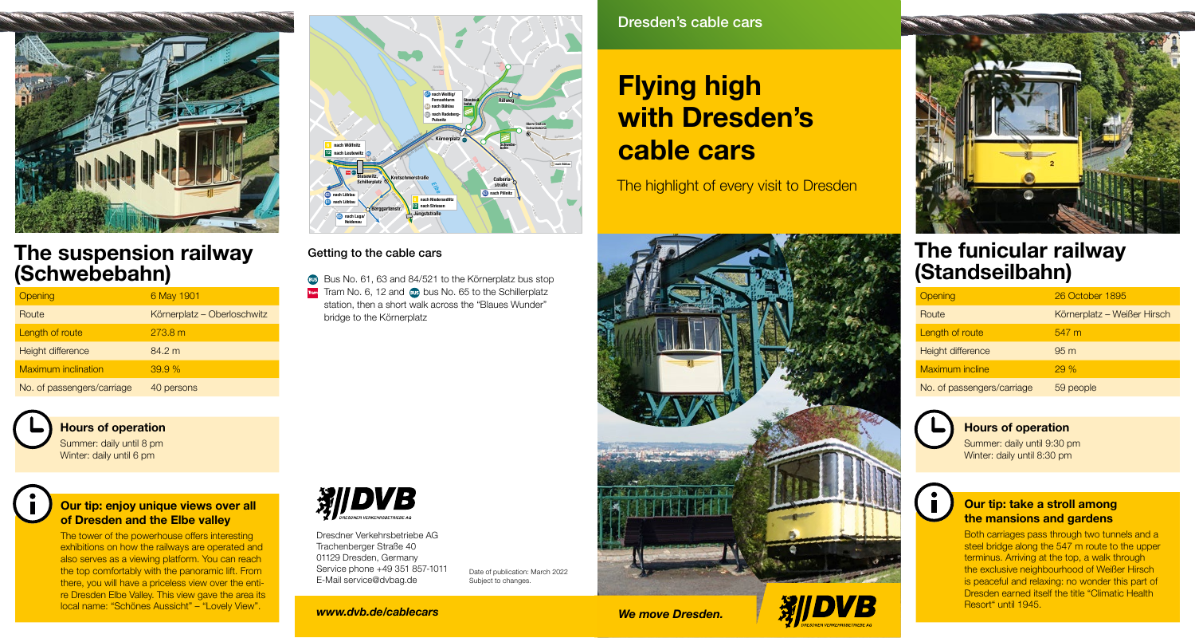

### The suspension railway (Schwebebahn)

| Opening                    | 6 May 1901                  |
|----------------------------|-----------------------------|
| Route                      | Körnerplatz - Oberloschwitz |
| Length of route            | 273.8 m                     |
| Height difference          | 84.2 m                      |
| <b>Maximum inclination</b> | 39.9%                       |
| No. of passengers/carriage | 40 persons                  |

#### Hours of operation

Summer: daily until 8 pm Winter: daily until 6 pm



#### Our tip: enjoy unique views over all of Dresden and the Elbe valley

The tower of the powerhouse offers interesting exhibitions on how the railways are operated and also serves as a viewing platform. You can reach the top comfortably with the panoramic lift. From there, you will have a priceless view over the entire Dresden Elbe Valley. This view gave the area its local name: "Schönes Aussicht" – "Lovely View".



#### Getting to the cable cars

Bus No. 61, 63 and 84/521 to the Körnerplatz bus stop Tram Tram No. 6, 12 and 60s bus No. 65 to the Schillerplatz station, then a short walk across the "Blaues Wunder" bridge to the Körnerplatz



Dresdner Verkehrsbetriebe AG Trachenberger Straße 40 01129 Dresden, Germany Service phone +49 351 857-1011 E-Mail service@dvbag.de

Date of publication: March 2022 Subject to changes.

*www.dvb.de/cablecars*

Dresden's cable cars

otzschw

Ulrichstr.

# Flying high with Dresden's cable cars

The highlight of every visit to Dresden



*We move Dresden.*





### The funicular railway (Standseilbahn)

| Opening                    | 26 October 1895             |
|----------------------------|-----------------------------|
| Route                      | Körnerplatz – Weißer Hirsch |
| Length of route            | $547 \text{ m}$             |
| Height difference          | 95m                         |
| <b>Maximum incline</b>     | 29%                         |
| No. of passengers/carriage | 59 people                   |



 $\mathbf{r}$ 

Hours of operation

Summer: daily until 9:30 pm Winter: daily until 8:30 pm

#### Our tip: take a stroll among the mansions and gardens

Both carriages pass through two tunnels and a steel bridge along the 547 m route to the upper terminus. Arriving at the top, a walk through the exclusive neighbourhood of Weißer Hirsch is peaceful and relaxing: no wonder this part of Dresden earned itself the title "Climatic Health Resort" until 1945.